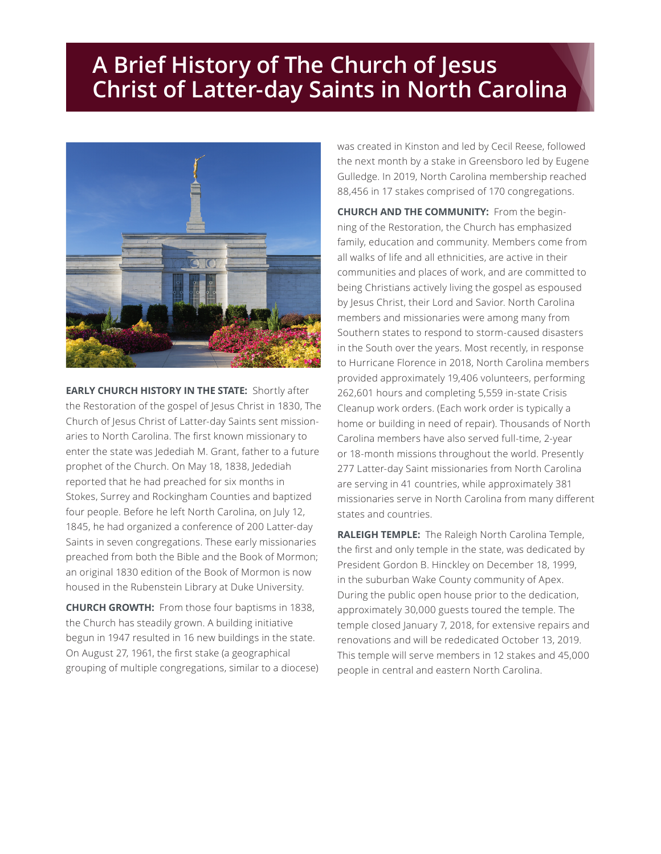## **A Brief History of The Church of Jesus Christ of Latter-day Saints in North Carolina**



**EARLY CHURCH HISTORY IN THE STATE:** Shortly after the Restoration of the gospel of Jesus Christ in 1830, The Church of Jesus Christ of Latter-day Saints sent missionaries to North Carolina. The first known missionary to enter the state was Jedediah M. Grant, father to a future prophet of the Church. On May 18, 1838, Jedediah reported that he had preached for six months in Stokes, Surrey and Rockingham Counties and baptized four people. Before he left North Carolina, on July 12, 1845, he had organized a conference of 200 Latter-day Saints in seven congregations. These early missionaries preached from both the Bible and the Book of Mormon; an original 1830 edition of the Book of Mormon is now housed in the Rubenstein Library at Duke University.

**CHURCH GROWTH:** From those four baptisms in 1838, the Church has steadily grown. A building initiative begun in 1947 resulted in 16 new buildings in the state. On August 27, 1961, the first stake (a geographical grouping of multiple congregations, similar to a diocese) was created in Kinston and led by Cecil Reese, followed the next month by a stake in Greensboro led by Eugene Gulledge. In 2019, North Carolina membership reached 88,456 in 17 stakes comprised of 170 congregations.

**CHURCH AND THE COMMUNITY:** From the beginning of the Restoration, the Church has emphasized family, education and community. Members come from all walks of life and all ethnicities, are active in their communities and places of work, and are committed to being Christians actively living the gospel as espoused by Jesus Christ, their Lord and Savior. North Carolina members and missionaries were among many from Southern states to respond to storm-caused disasters in the South over the years. Most recently, in response to Hurricane Florence in 2018, North Carolina members provided approximately 19,406 volunteers, performing 262,601 hours and completing 5,559 in-state Crisis Cleanup work orders. (Each work order is typically a home or building in need of repair). Thousands of North Carolina members have also served full-time, 2-year or 18-month missions throughout the world. Presently 277 Latter-day Saint missionaries from North Carolina are serving in 41 countries, while approximately 381 missionaries serve in North Carolina from many different states and countries.

**RALEIGH TEMPLE:** The Raleigh North Carolina Temple, the first and only temple in the state, was dedicated by President Gordon B. Hinckley on December 18, 1999, in the suburban Wake County community of Apex. During the public open house prior to the dedication, approximately 30,000 guests toured the temple. The temple closed January 7, 2018, for extensive repairs and renovations and will be rededicated October 13, 2019. This temple will serve members in 12 stakes and 45,000 people in central and eastern North Carolina.